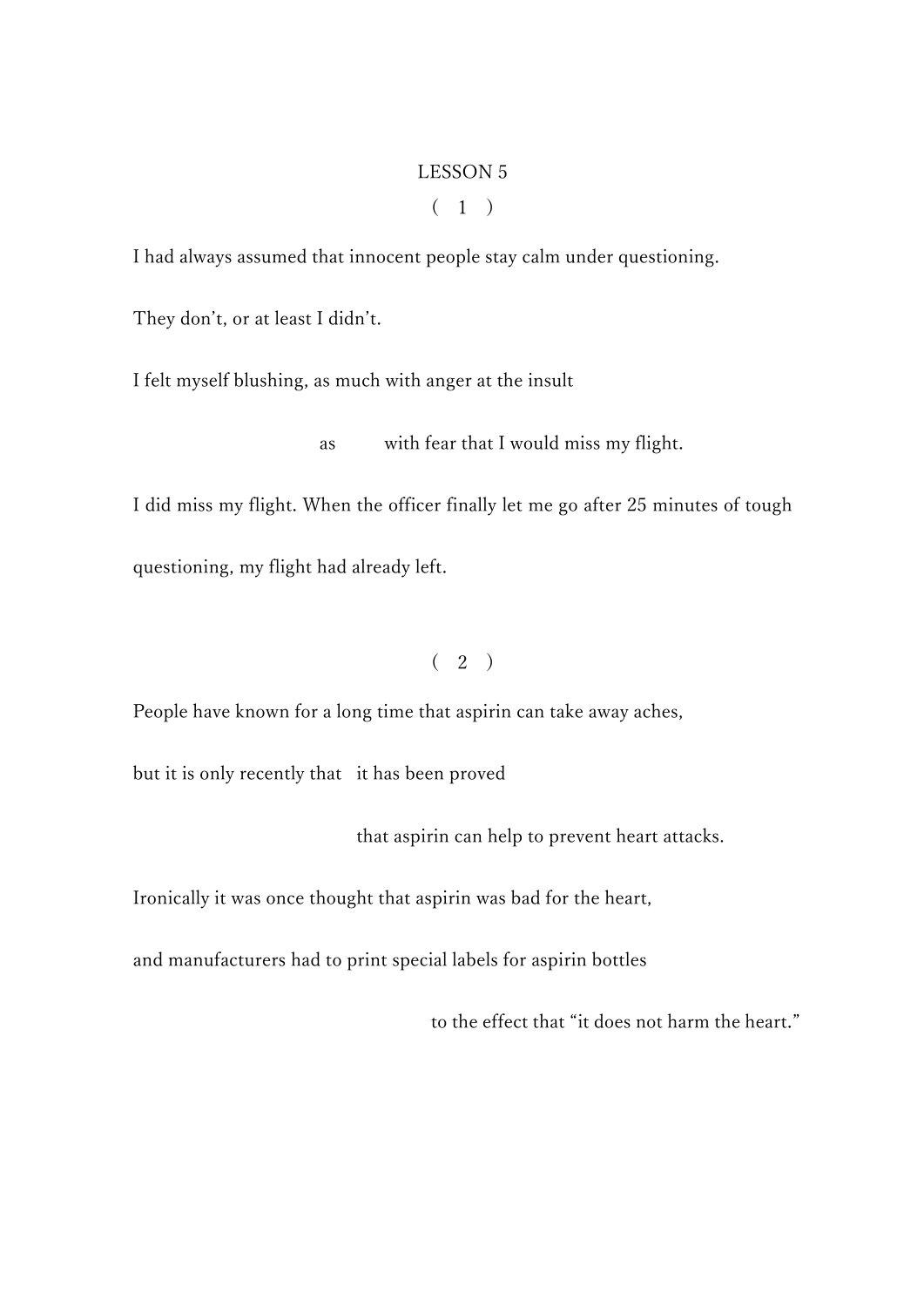### LESSON 5

# $(1)$

I had always assumed that innocent people stay calm under questioning.

They don't, or at least I didn't.

I felt myself blushing, as much with anger at the insult

as with fear that I would miss my flight.

I did miss my flight. When the officer finally let me go after 25 minutes of tough questioning, my flight had already left.

## $(2)$

People have known for a long time that aspirin can take away aches,

but it is only recently that it has been proved

that aspirin can help to prevent heart attacks.

Ironically it was once thought that aspirin was bad for the heart,

and manufacturers had to print special labels for aspirin bottles

to the effect that "it does not harm the heart."